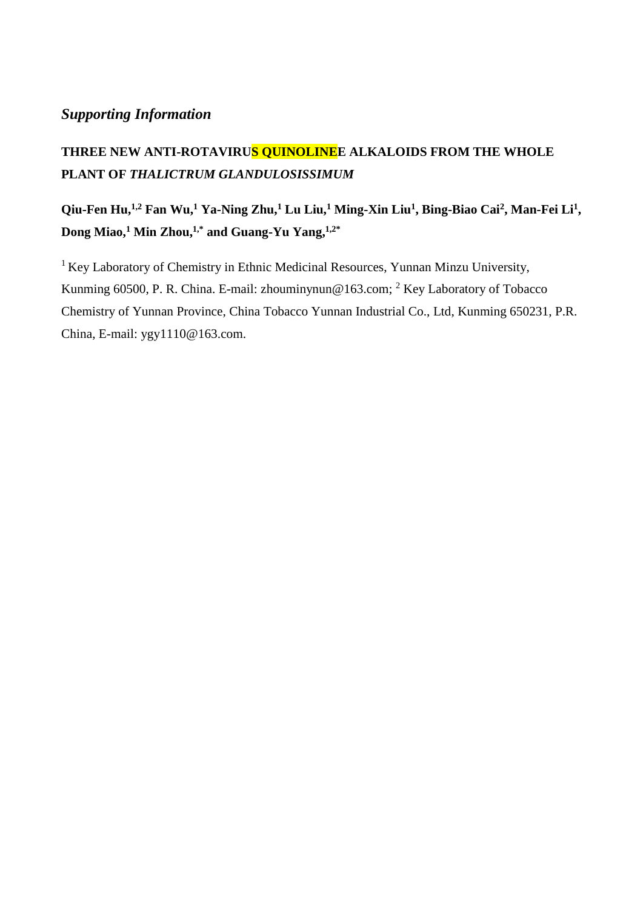## *Supporting Information*

## **THREE NEW ANTI-ROTAVIRUS QUINOLINEE ALKALOIDS FROM THE WHOLE PLANT OF** *THALICTRUM GLANDULOSISSIMUM*

## **Qiu-Fen Hu,1,2 Fan Wu,<sup>1</sup> Ya-Ning Zhu,<sup>1</sup> Lu Liu,<sup>1</sup> Ming-Xin Liu<sup>1</sup> , Bing-Biao Cai<sup>2</sup> , Man-Fei Li<sup>1</sup> , Dong Miao,<sup>1</sup> Min Zhou,1,\* and Guang-Yu Yang,1,2\***

<sup>1</sup> Key Laboratory of Chemistry in Ethnic Medicinal Resources, Yunnan Minzu University, Kunming 60500, P. R. China. E-mail: zhouminynun@163.com; <sup>2</sup> Key Laboratory of Tobacco Chemistry of Yunnan Province, China Tobacco Yunnan Industrial Co., Ltd, Kunming 650231, P.R. China, E-mail: ygy1110@163.com.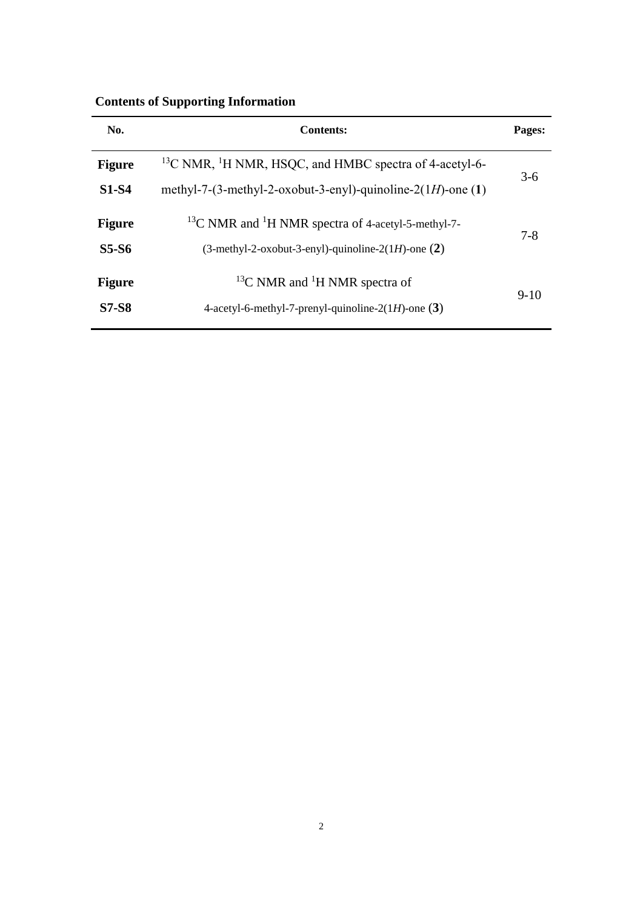| <b>Contents of Supporting Information</b> |  |  |  |
|-------------------------------------------|--|--|--|
|                                           |  |  |  |

| No.           | <b>Contents:</b>                                                               |         |  |  |  |
|---------------|--------------------------------------------------------------------------------|---------|--|--|--|
| <b>Figure</b> | <sup>13</sup> C NMR, <sup>1</sup> H NMR, HSQC, and HMBC spectra of 4-acetyl-6- |         |  |  |  |
| <b>S1-S4</b>  | methyl-7-(3-methyl-2-oxobut-3-enyl)-quinoline- $2(1H)$ -one (1)                | $3-6$   |  |  |  |
| <b>Figure</b> | <sup>13</sup> C NMR and <sup>1</sup> H NMR spectra of 4-acetyl-5-methyl-7-     |         |  |  |  |
| <b>S5-S6</b>  | $(3$ -methyl-2-oxobut-3-enyl)-quinoline-2(1H)-one $(2)$                        | $7 - 8$ |  |  |  |
| <b>Figure</b> | <sup>13</sup> C NMR and <sup>1</sup> H NMR spectra of                          |         |  |  |  |
| <b>S7-S8</b>  | 4-acetyl-6-methyl-7-prenyl-quinoline-2(1H)-one $(3)$                           | $9-10$  |  |  |  |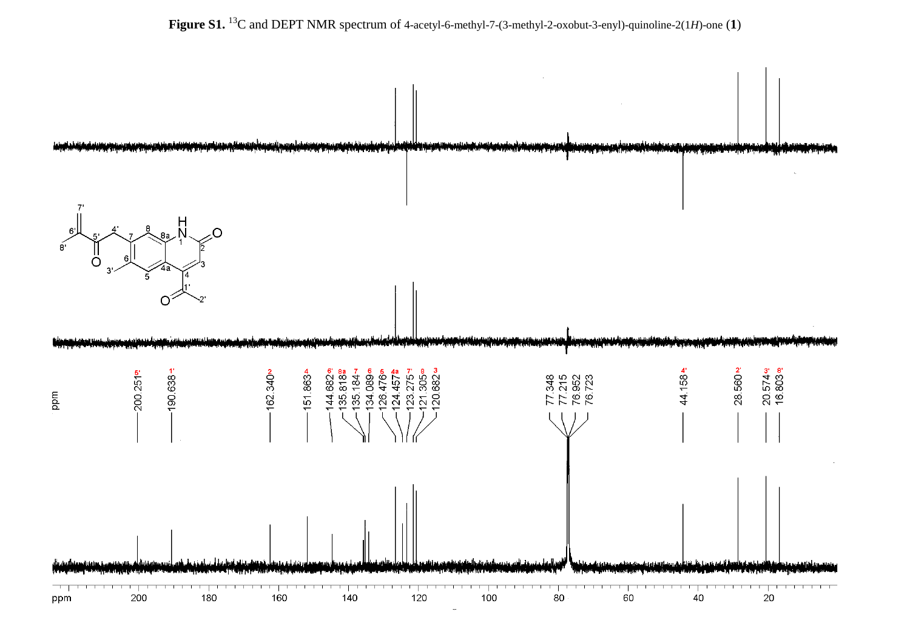**Figure S1.** <sup>13</sup>C and DEPT NMR spectrum of 4-acetyl-6-methyl-7-(3-methyl-2-oxobut-3-enyl)-quinoline-2(1*H*)-one (**1**)

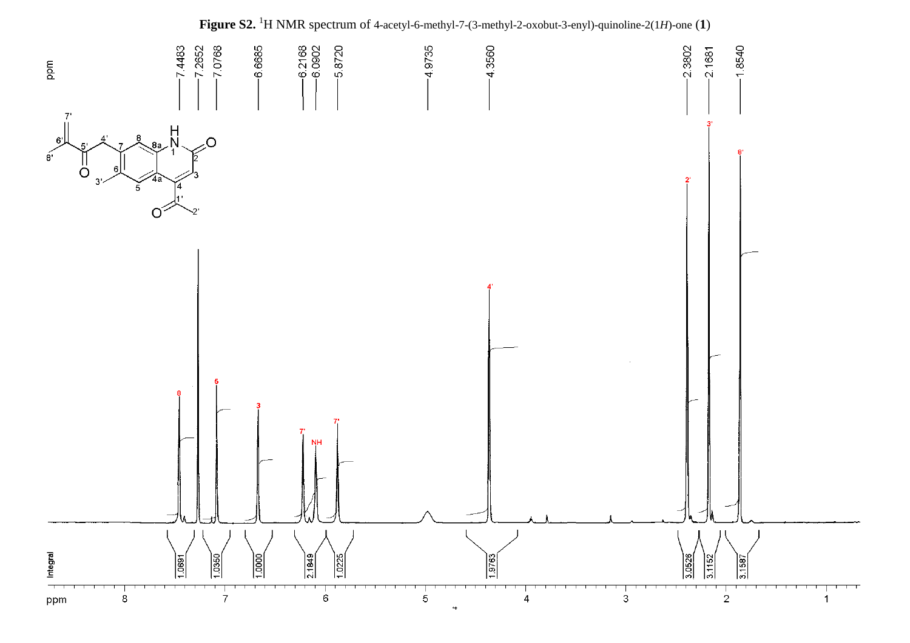

**Figure S2.**  <sup>1</sup>H NMR spectrum of 4-acetyl-6-methyl-7-(3-methyl-2-oxobut-3-enyl)-quinoline-2(1*H*)-one (**1**)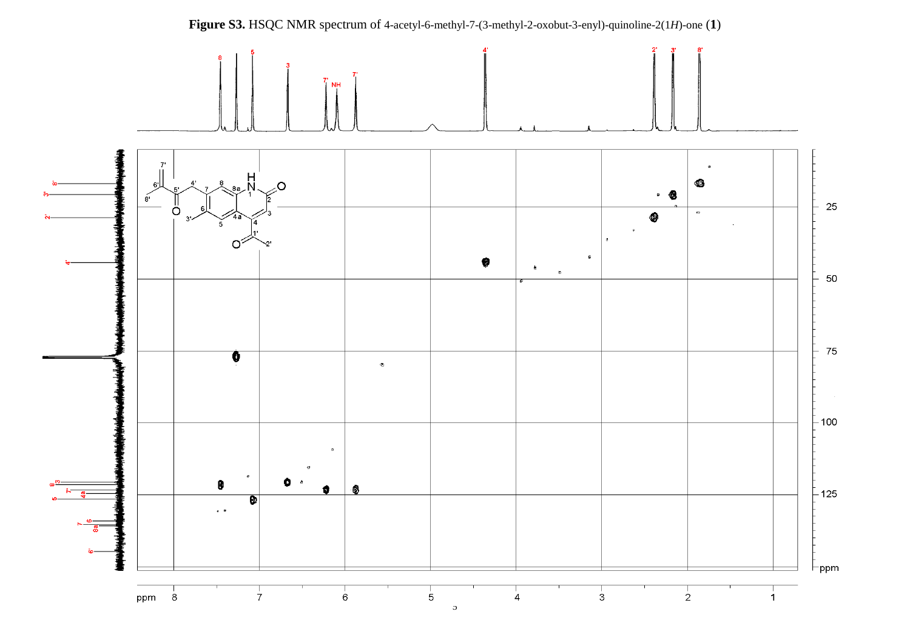

**Figure S3.** HSQC NMR spectrum of 4-acetyl-6-methyl-7-(3-methyl-2-oxobut-3-enyl)-quinoline-2(1*H*)-one (**1**)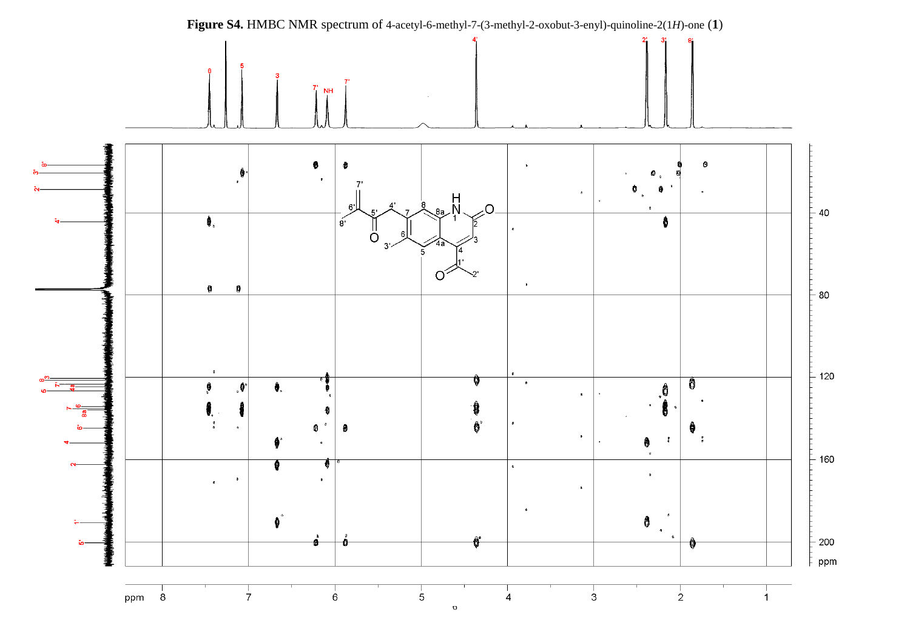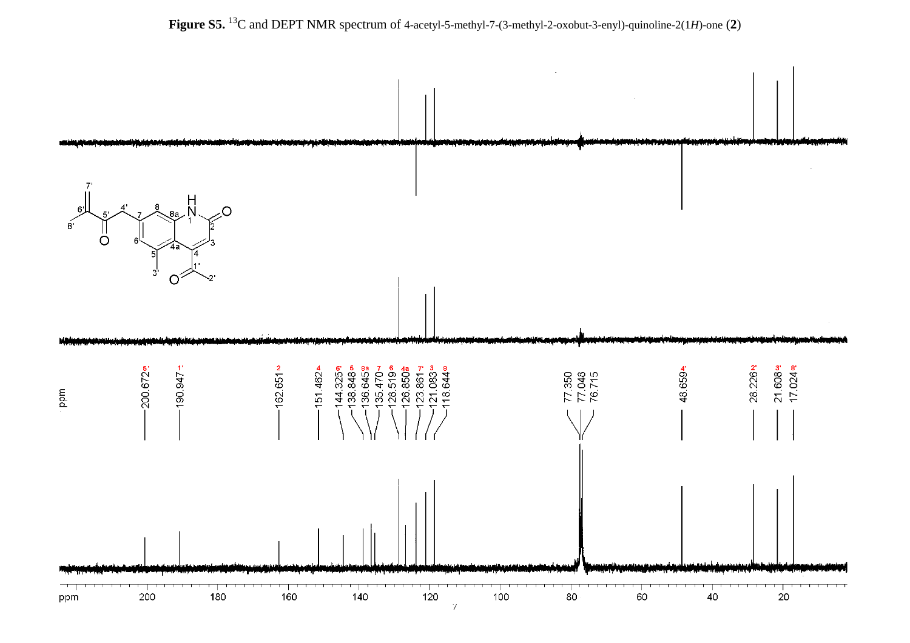

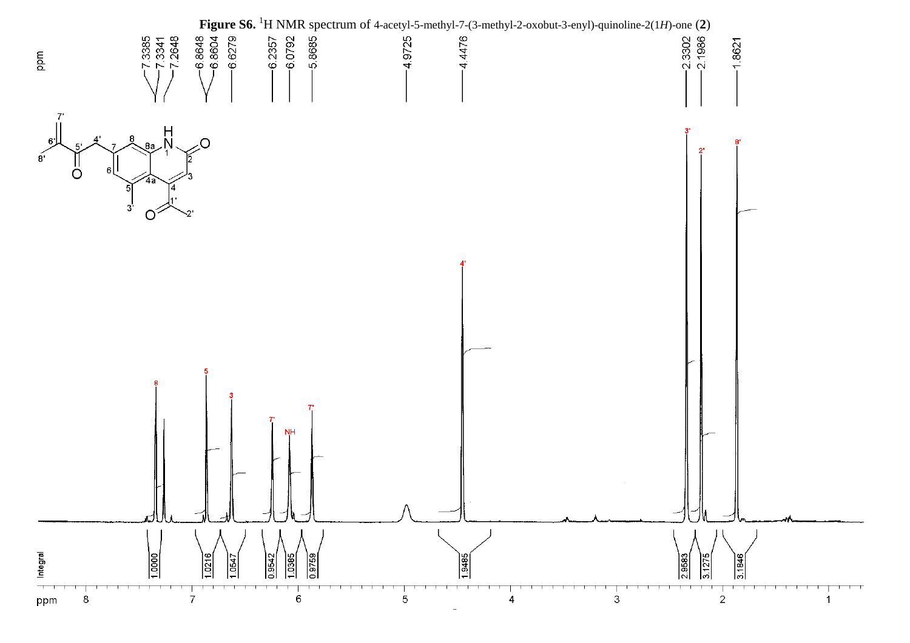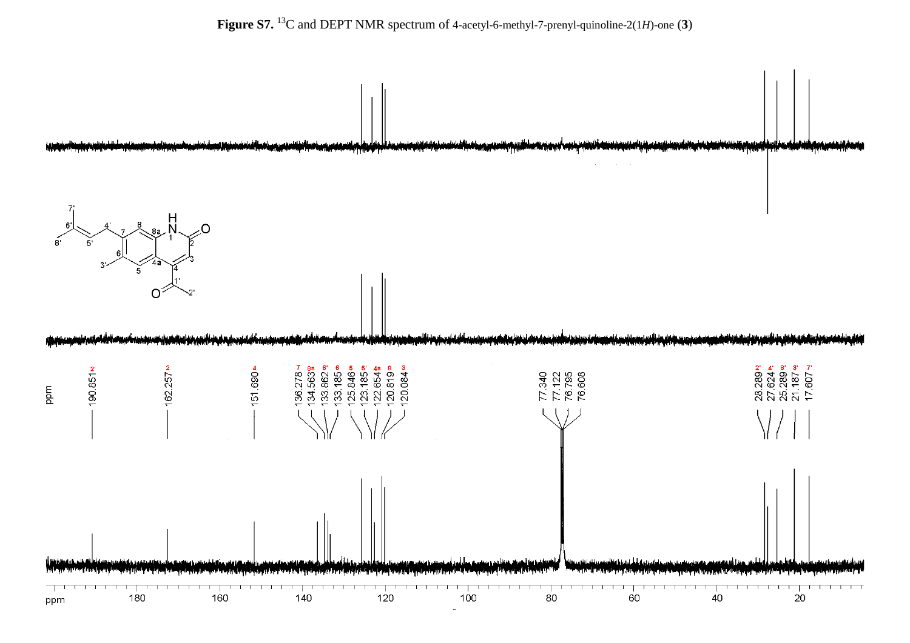